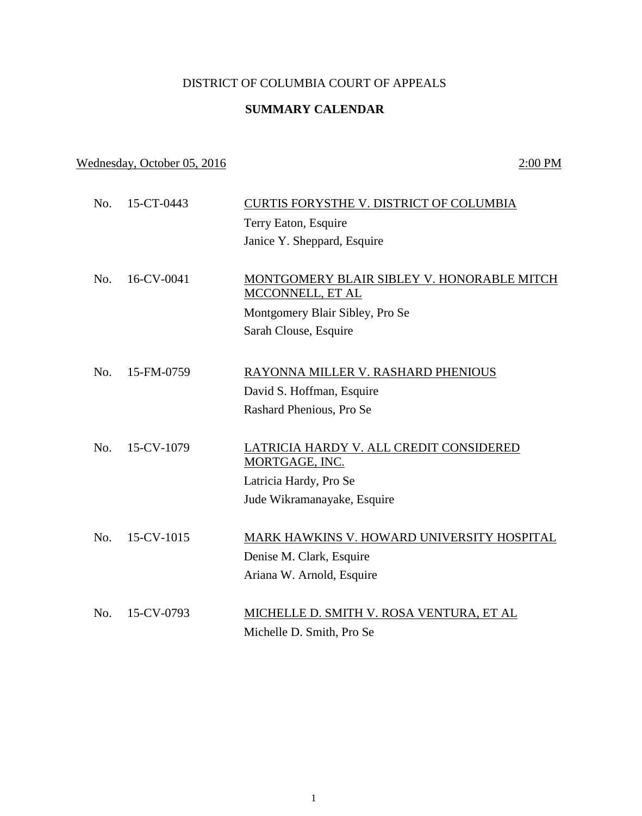## DISTRICT OF COLUMBIA COURT OF APPEALS

## **SUMMARY CALENDAR**

## Wednesday, October 05, 2016 2:00 PM

No. 15-CT-0443 CURTIS FORYSTHE V. DISTRICT OF COLUMBIA Terry Eaton, Esquire Janice Y. Sheppard, Esquire No. 16-CV-0041 MONTGOMERY BLAIR SIBLEY V. HONORABLE MITCH MCCONNELL, ET AL Montgomery Blair Sibley, Pro Se Sarah Clouse, Esquire No. 15-FM-0759 RAYONNA MILLER V. RASHARD PHENIOUS David S. Hoffman, Esquire Rashard Phenious, Pro Se No. 15-CV-1079 LATRICIA HARDY V. ALL CREDIT CONSIDERED MORTGAGE, INC. Latricia Hardy, Pro Se Jude Wikramanayake, Esquire No. 15-CV-1015 MARK HAWKINS V. HOWARD UNIVERSITY HOSPITAL Denise M. Clark, Esquire Ariana W. Arnold, Esquire No. 15-CV-0793 MICHELLE D. SMITH V. ROSA VENTURA, ET AL Michelle D. Smith, Pro Se

1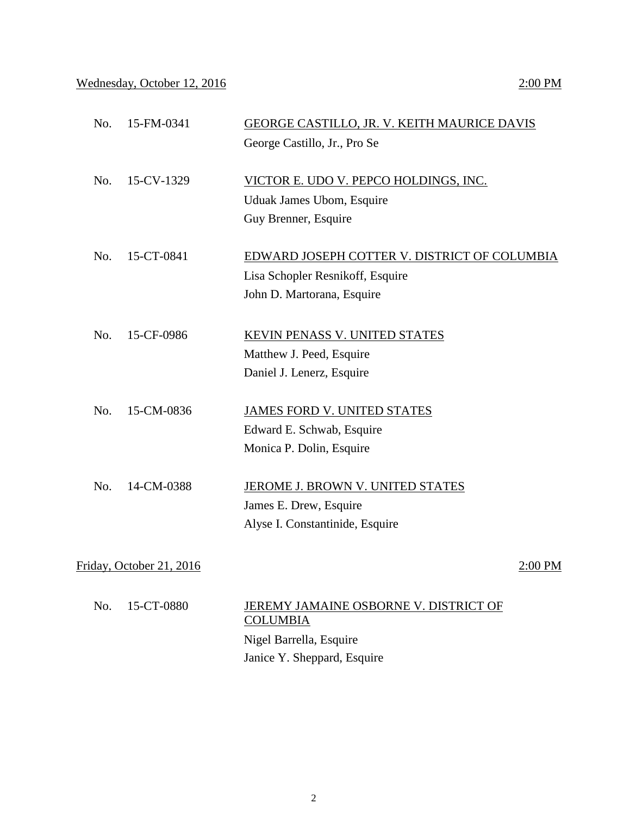## Wednesday, October 12, 2016 2:00 PM

| No. | 15-FM-0341               | <b>GEORGE CASTILLO, JR. V. KEITH MAURICE DAVIS</b>       |           |
|-----|--------------------------|----------------------------------------------------------|-----------|
|     |                          | George Castillo, Jr., Pro Se                             |           |
| No. | 15-CV-1329               | VICTOR E. UDO V. PEPCO HOLDINGS, INC.                    |           |
|     |                          | Uduak James Ubom, Esquire                                |           |
|     |                          | Guy Brenner, Esquire                                     |           |
| No. | 15-CT-0841               | EDWARD JOSEPH COTTER V. DISTRICT OF COLUMBIA             |           |
|     |                          | Lisa Schopler Resnikoff, Esquire                         |           |
|     |                          | John D. Martorana, Esquire                               |           |
| No. | 15-CF-0986               | KEVIN PENASS V. UNITED STATES                            |           |
|     |                          | Matthew J. Peed, Esquire                                 |           |
|     |                          | Daniel J. Lenerz, Esquire                                |           |
| No. | 15-CM-0836               | <b>JAMES FORD V. UNITED STATES</b>                       |           |
|     |                          | Edward E. Schwab, Esquire                                |           |
|     |                          | Monica P. Dolin, Esquire                                 |           |
| No. | 14-CM-0388               | <b>JEROME J. BROWN V. UNITED STATES</b>                  |           |
|     |                          | James E. Drew, Esquire                                   |           |
|     |                          | Alyse I. Constantinide, Esquire                          |           |
|     | Friday, October 21, 2016 |                                                          | $2:00$ PM |
|     |                          |                                                          |           |
| No. | 15-CT-0880               | JEREMY JAMAINE OSBORNE V. DISTRICT OF<br><b>COLUMBIA</b> |           |
|     |                          | Nigel Barrella, Esquire                                  |           |
|     |                          | Janice Y. Sheppard, Esquire                              |           |
|     |                          |                                                          |           |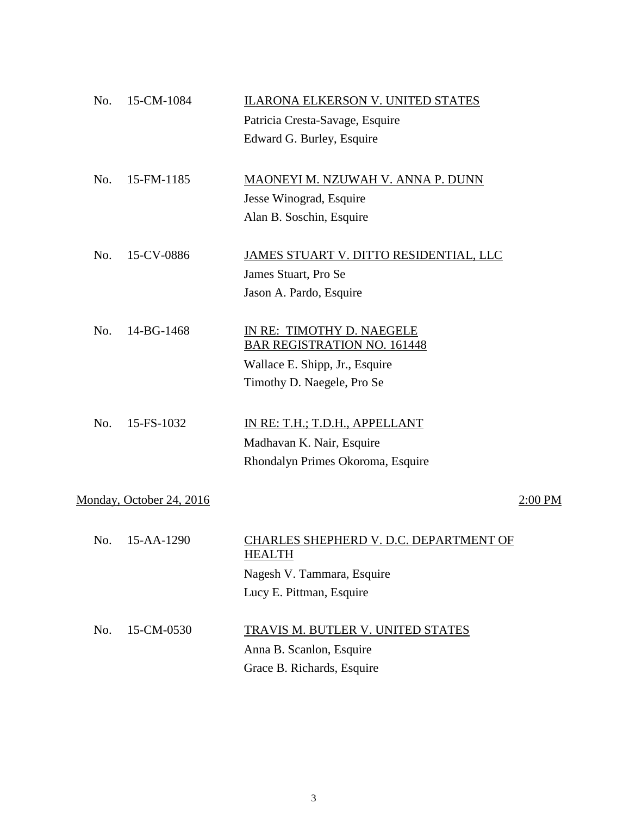| No. | 15-CM-1084               | <b>ILARONA ELKERSON V. UNITED STATES</b>                |         |
|-----|--------------------------|---------------------------------------------------------|---------|
|     |                          | Patricia Cresta-Savage, Esquire                         |         |
|     |                          | Edward G. Burley, Esquire                               |         |
| No. | 15-FM-1185               | MAONEYI M. NZUWAH V. ANNA P. DUNN                       |         |
|     |                          | Jesse Winograd, Esquire                                 |         |
|     |                          | Alan B. Soschin, Esquire                                |         |
|     |                          |                                                         |         |
| No. | 15-CV-0886               | JAMES STUART V. DITTO RESIDENTIAL, LLC                  |         |
|     |                          | James Stuart, Pro Se                                    |         |
|     |                          | Jason A. Pardo, Esquire                                 |         |
| No. | 14-BG-1468               | IN RE: TIMOTHY D. NAEGELE                               |         |
|     |                          | <b>BAR REGISTRATION NO. 161448</b>                      |         |
|     |                          | Wallace E. Shipp, Jr., Esquire                          |         |
|     |                          | Timothy D. Naegele, Pro Se                              |         |
| No. | 15-FS-1032               |                                                         |         |
|     |                          | IN RE: T.H.; T.D.H., APPELLANT                          |         |
|     |                          | Madhavan K. Nair, Esquire                               |         |
|     |                          | Rhondalyn Primes Okoroma, Esquire                       |         |
|     | Monday, October 24, 2016 |                                                         | 2:00 PM |
|     |                          |                                                         |         |
| No. | 15-AA-1290               | CHARLES SHEPHERD V. D.C. DEPARTMENT OF<br><b>HEALTH</b> |         |
|     |                          | Nagesh V. Tammara, Esquire                              |         |
|     |                          | Lucy E. Pittman, Esquire                                |         |
| No. | 15-CM-0530               | <b>TRAVIS M. BUTLER V. UNITED STATES</b>                |         |
|     |                          | Anna B. Scanlon, Esquire                                |         |
|     |                          | Grace B. Richards, Esquire                              |         |
|     |                          |                                                         |         |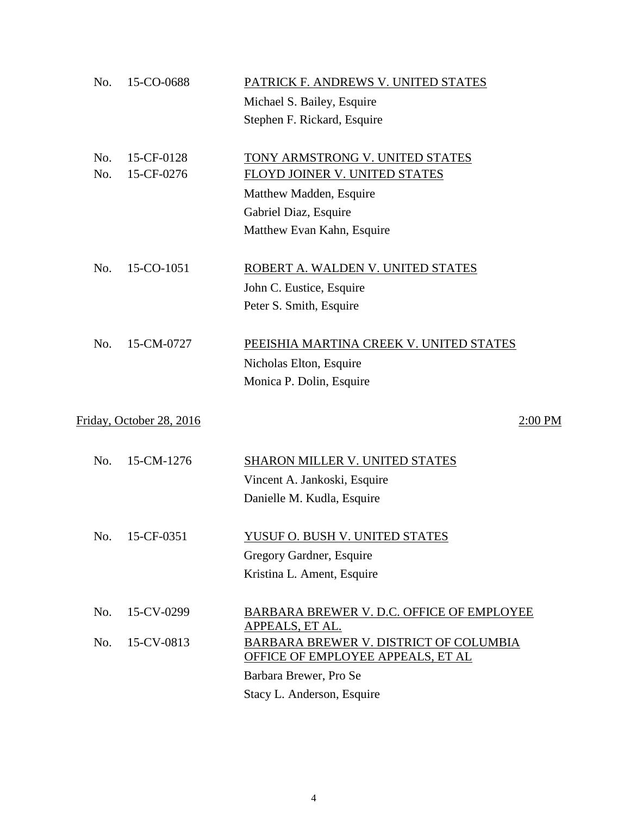| No. | 15-CO-0688               | PATRICK F. ANDREWS V. UNITED STATES                                         |
|-----|--------------------------|-----------------------------------------------------------------------------|
|     |                          | Michael S. Bailey, Esquire                                                  |
|     |                          | Stephen F. Rickard, Esquire                                                 |
|     |                          |                                                                             |
| No. | 15-CF-0128               | TONY ARMSTRONG V. UNITED STATES                                             |
| No. | 15-CF-0276               | FLOYD JOINER V. UNITED STATES                                               |
|     |                          | Matthew Madden, Esquire                                                     |
|     |                          | Gabriel Diaz, Esquire                                                       |
|     |                          | Matthew Evan Kahn, Esquire                                                  |
|     |                          |                                                                             |
| No. | 15-CO-1051               | ROBERT A. WALDEN V. UNITED STATES                                           |
|     |                          | John C. Eustice, Esquire                                                    |
|     |                          | Peter S. Smith, Esquire                                                     |
|     |                          |                                                                             |
| No. | 15-CM-0727               | PEEISHIA MARTINA CREEK V. UNITED STATES                                     |
|     |                          | Nicholas Elton, Esquire                                                     |
|     |                          | Monica P. Dolin, Esquire                                                    |
|     |                          |                                                                             |
|     | Friday, October 28, 2016 | $2:00$ PM                                                                   |
| No. | 15-CM-1276               | <b>SHARON MILLER V. UNITED STATES</b>                                       |
|     |                          | Vincent A. Jankoski, Esquire                                                |
|     |                          | Danielle M. Kudla, Esquire                                                  |
|     |                          |                                                                             |
| No. | 15-CF-0351               | <u>YUSUF O. BUSH V. UNITED STATES</u>                                       |
|     |                          | Gregory Gardner, Esquire                                                    |
|     |                          | Kristina L. Ament, Esquire                                                  |
|     |                          |                                                                             |
| No. | 15-CV-0299               | <b>BARBARA BREWER V. D.C. OFFICE OF EMPLOYEE</b>                            |
|     |                          | APPEALS, ET AL.                                                             |
| No. | 15-CV-0813               | BARBARA BREWER V. DISTRICT OF COLUMBIA<br>OFFICE OF EMPLOYEE APPEALS, ET AL |
|     |                          |                                                                             |
|     |                          | Barbara Brewer, Pro Se                                                      |
|     |                          | Stacy L. Anderson, Esquire                                                  |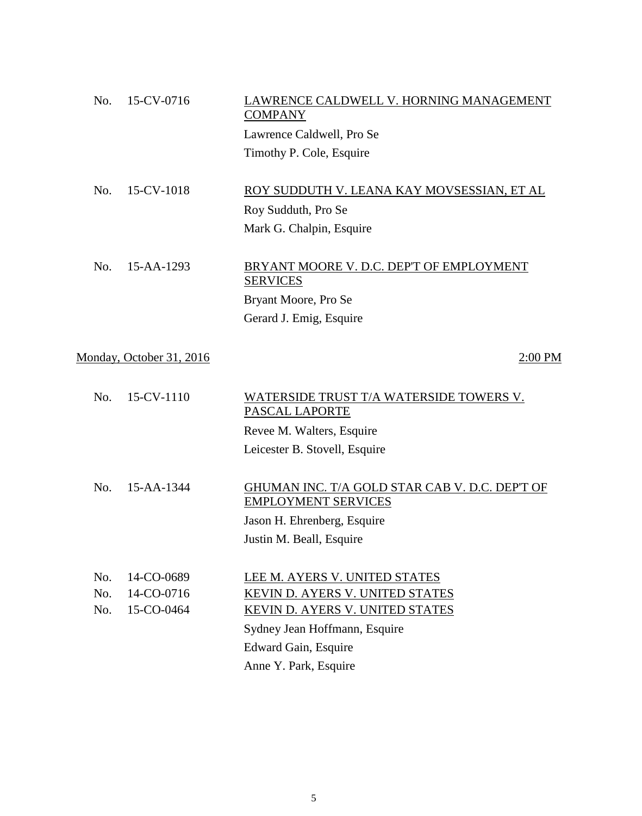| No. | 15-CV-0716               | AWRENCE CALDWELL V. HORNING MANAGEMENT<br><b>COMPANY</b>    |         |
|-----|--------------------------|-------------------------------------------------------------|---------|
|     |                          | Lawrence Caldwell, Pro Se                                   |         |
|     |                          | Timothy P. Cole, Esquire                                    |         |
| No. | 15-CV-1018               | ROY SUDDUTH V. LEANA KAY MOVSESSIAN, ET AL                  |         |
|     |                          | Roy Sudduth, Pro Se                                         |         |
|     |                          | Mark G. Chalpin, Esquire                                    |         |
|     |                          |                                                             |         |
| No. | 15-AA-1293               | BRYANT MOORE V. D.C. DEP'T OF EMPLOYMENT<br><b>SERVICES</b> |         |
|     |                          | Bryant Moore, Pro Se                                        |         |
|     |                          | Gerard J. Emig, Esquire                                     |         |
|     | Monday, October 31, 2016 |                                                             | 2:00 PM |
|     |                          |                                                             |         |

| No. | 15-CV-1110       | WATERSIDE TRUST T/A WATERSIDE TOWERS V.<br>PASCAL LAPORTE                    |
|-----|------------------|------------------------------------------------------------------------------|
|     |                  | Revee M. Walters, Esquire                                                    |
|     |                  | Leicester B. Stovell, Esquire                                                |
|     |                  |                                                                              |
| No. | $15 - AA - 1344$ | GHUMAN INC. T/A GOLD STAR CAB V. D.C. DEP'T OF<br><b>EMPLOYMENT SERVICES</b> |
|     |                  | Jason H. Ehrenberg, Esquire                                                  |
|     |                  | Justin M. Beall, Esquire                                                     |
|     |                  |                                                                              |
| No. | 14-CO-0689       | LEE M. AYERS V. UNITED STATES                                                |
| No. | 14-CO-0716       | <b>KEVIN D. AYERS V. UNITED STATES</b>                                       |
| No. | 15-CO-0464       | KEVIN D. AYERS V. UNITED STATES                                              |
|     |                  | Sydney Jean Hoffmann, Esquire                                                |
|     |                  | Edward Gain, Esquire                                                         |
|     |                  | Anne Y. Park, Esquire                                                        |
|     |                  |                                                                              |